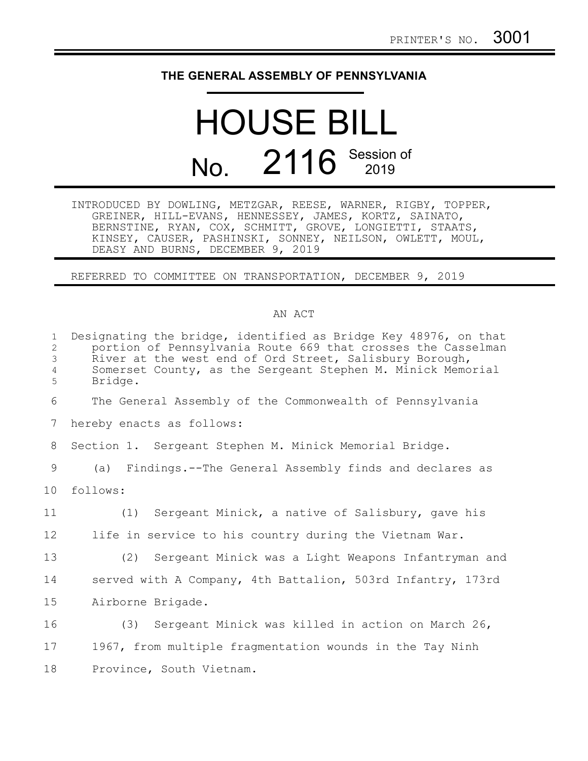## **THE GENERAL ASSEMBLY OF PENNSYLVANIA**

## HOUSE BILL No. 2116 Session of

INTRODUCED BY DOWLING, METZGAR, REESE, WARNER, RIGBY, TOPPER, GREINER, HILL-EVANS, HENNESSEY, JAMES, KORTZ, SAINATO, BERNSTINE, RYAN, COX, SCHMITT, GROVE, LONGIETTI, STAATS, KINSEY, CAUSER, PASHINSKI, SONNEY, NEILSON, OWLETT, MOUL, DEASY AND BURNS, DECEMBER 9, 2019

REFERRED TO COMMITTEE ON TRANSPORTATION, DECEMBER 9, 2019

## AN ACT

| $\mathbf{1}$<br>$\mathbf{2}$<br>3<br>4<br>5 | Designating the bridge, identified as Bridge Key 48976, on that<br>portion of Pennsylvania Route 669 that crosses the Casselman<br>River at the west end of Ord Street, Salisbury Borough,<br>Somerset County, as the Sergeant Stephen M. Minick Memorial<br>Bridge. |
|---------------------------------------------|----------------------------------------------------------------------------------------------------------------------------------------------------------------------------------------------------------------------------------------------------------------------|
| 6                                           | The General Assembly of the Commonwealth of Pennsylvania                                                                                                                                                                                                             |
| 7                                           | hereby enacts as follows:                                                                                                                                                                                                                                            |
| 8                                           | Section 1. Sergeant Stephen M. Minick Memorial Bridge.                                                                                                                                                                                                               |
| 9                                           | (a) Findings.--The General Assembly finds and declares as                                                                                                                                                                                                            |
| 10                                          | follows:                                                                                                                                                                                                                                                             |
| 11                                          | (1) Sergeant Minick, a native of Salisbury, gave his                                                                                                                                                                                                                 |
| 12                                          | life in service to his country during the Vietnam War.                                                                                                                                                                                                               |
| 13                                          | (2) Sergeant Minick was a Light Weapons Infantryman and                                                                                                                                                                                                              |
| 14                                          | served with A Company, 4th Battalion, 503rd Infantry, 173rd                                                                                                                                                                                                          |
| 15                                          | Airborne Brigade.                                                                                                                                                                                                                                                    |
| 16                                          | (3) Sergeant Minick was killed in action on March 26,                                                                                                                                                                                                                |
| 17                                          | 1967, from multiple fragmentation wounds in the Tay Ninh                                                                                                                                                                                                             |
| 18                                          | Province, South Vietnam.                                                                                                                                                                                                                                             |
|                                             |                                                                                                                                                                                                                                                                      |